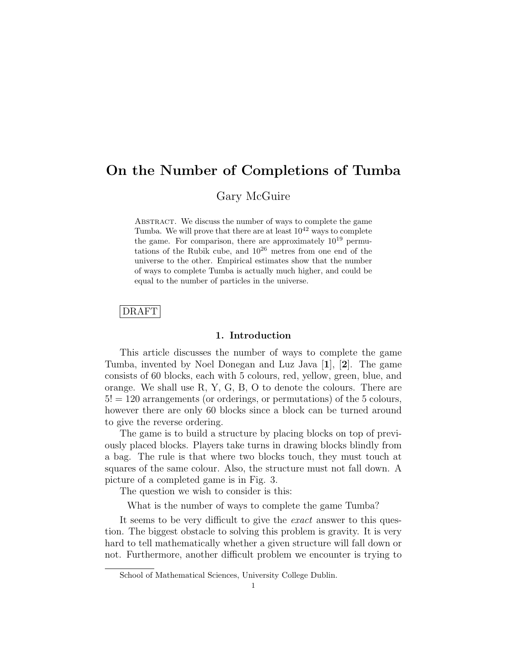# On the Number of Completions of Tumba

Gary McGuire

ABSTRACT. We discuss the number of ways to complete the game Tumba. We will prove that there are at least  $10^{42}$  ways to complete the game. For comparison, there are approximately  $10^{19}$  permutations of the Rubik cube, and  $10^{26}$  metres from one end of the universe to the other. Empirical estimates show that the number of ways to complete Tumba is actually much higher, and could be equal to the number of particles in the universe.

### DRAFT

### 1. Introduction

This article discusses the number of ways to complete the game Tumba, invented by Noel Donegan and Luz Java [1], [2]. The game consists of 60 blocks, each with 5 colours, red, yellow, green, blue, and orange. We shall use R, Y, G, B, O to denote the colours. There are  $5! = 120$  arrangements (or orderings, or permutations) of the 5 colours, however there are only 60 blocks since a block can be turned around to give the reverse ordering.

The game is to build a structure by placing blocks on top of previously placed blocks. Players take turns in drawing blocks blindly from a bag. The rule is that where two blocks touch, they must touch at squares of the same colour. Also, the structure must not fall down. A picture of a completed game is in Fig. 3.

The question we wish to consider is this:

What is the number of ways to complete the game Tumba?

It seems to be very difficult to give the *exact* answer to this question. The biggest obstacle to solving this problem is gravity. It is very hard to tell mathematically whether a given structure will fall down or not. Furthermore, another difficult problem we encounter is trying to

School of Mathematical Sciences, University College Dublin.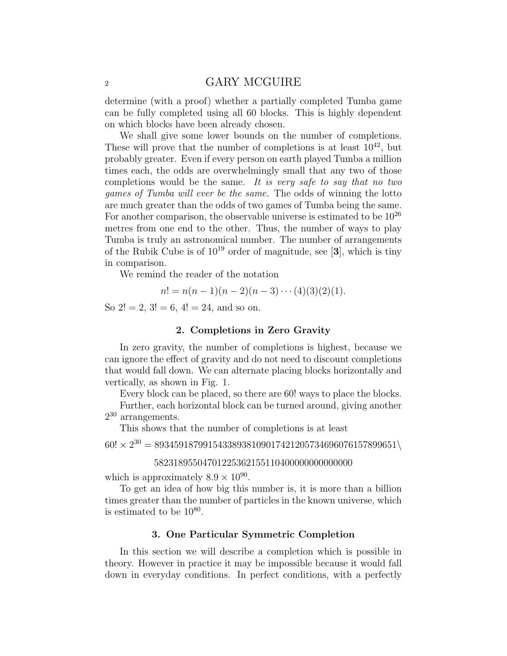### 2 GARY MCGUIRE

determine (with a proof) whether a partially completed Tumba game can be fully completed using all 60 blocks. This is highly dependent on which blocks have been already chosen.

We shall give some lower bounds on the number of completions. These will prove that the number of completions is at least  $10^{42}$ , but probably greater. Even if every person on earth played Tumba a million times each, the odds are overwhelmingly small that any two of those completions would be the same. It is very safe to say that no two games of Tumba will ever be the same. The odds of winning the lotto are much greater than the odds of two games of Tumba being the same. For another comparison, the observable universe is estimated to be  $10^{26}$ metres from one end to the other. Thus, the number of ways to play Tumba is truly an astronomical number. The number of arrangements of the Rubik Cube is of  $10^{19}$  order of magnitude, see [3], which is tiny in comparison.

We remind the reader of the notation

$$
n! = n(n-1)(n-2)(n-3)\cdots(4)(3)(2)(1).
$$

So  $2! = 2$ ,  $3! = 6$ ,  $4! = 24$ , and so on.

### 2. Completions in Zero Gravity

In zero gravity, the number of completions is highest, because we can ignore the effect of gravity and do not need to discount completions that would fall down. We can alternate placing blocks horizontally and vertically, as shown in Fig. 1.

Every block can be placed, so there are 60! ways to place the blocks. Further, each horizontal block can be turned around, giving another

2 <sup>30</sup> arrangements.

This shows that the number of completions is at least

 $60! \times 2^{30} = 89345918799154338938109017421205734696076157899651 \setminus$ 

### 58231895504701225362155110400000000000000

which is approximately  $8.9 \times 10^{90}$ .

To get an idea of how big this number is, it is more than a billion times greater than the number of particles in the known universe, which is estimated to be  $10^{80}$ .

### 3. One Particular Symmetric Completion

In this section we will describe a completion which is possible in theory. However in practice it may be impossible because it would fall down in everyday conditions. In perfect conditions, with a perfectly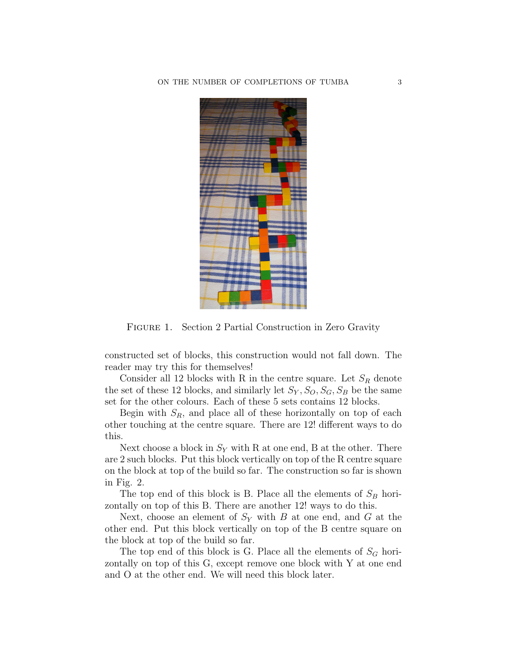

FIGURE 1. Section 2 Partial Construction in Zero Gravity

constructed set of blocks, this construction would not fall down. The reader may try this for themselves!

Consider all 12 blocks with R in the centre square. Let  $S_R$  denote the set of these 12 blocks, and similarly let  $S_Y$ ,  $S_O$ ,  $S_G$ ,  $S_B$  be the same set for the other colours. Each of these 5 sets contains 12 blocks.

Begin with  $S_R$ , and place all of these horizontally on top of each other touching at the centre square. There are 12! different ways to do this.

Next choose a block in  $S_Y$  with R at one end, B at the other. There are 2 such blocks. Put this block vertically on top of the R centre square on the block at top of the build so far. The construction so far is shown in Fig. 2.

The top end of this block is B. Place all the elements of  $S_B$  horizontally on top of this B. There are another 12! ways to do this.

Next, choose an element of  $S_Y$  with B at one end, and G at the other end. Put this block vertically on top of the B centre square on the block at top of the build so far.

The top end of this block is G. Place all the elements of  $S_G$  horizontally on top of this G, except remove one block with Y at one end and O at the other end. We will need this block later.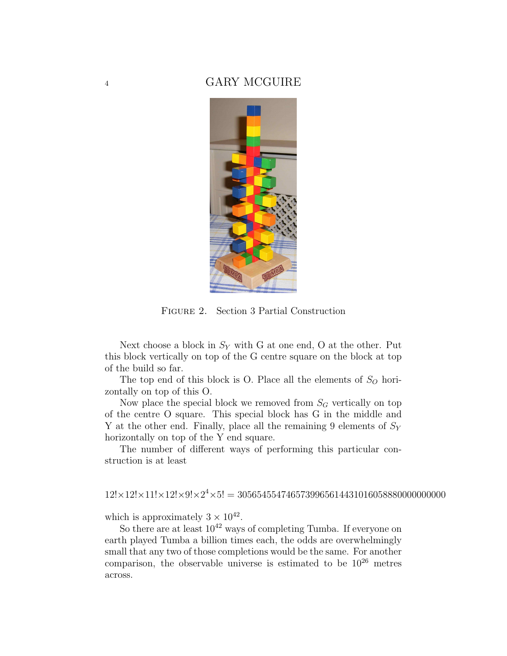# <sup>4</sup> GARY MCGUIRE



Figure 2. Section 3 Partial Construction

Next choose a block in  $S_Y$  with G at one end, O at the other. Put this block vertically on top of the G centre square on the block at top of the build so far.

The top end of this block is O. Place all the elements of  $S<sub>O</sub>$  horizontally on top of this O.

Now place the special block we removed from  $S_G$  vertically on top of the centre O square. This special block has G in the middle and Y at the other end. Finally, place all the remaining 9 elements of  $S_Y$ horizontally on top of the Y end square.

The number of different ways of performing this particular construction is at least

# 12!×12!×11!×12!×9!×2 <sup>4</sup>×5! = 3056545547465739965614431016058880000000000

which is approximately  $3 \times 10^{42}$ .

So there are at least  $10^{42}$  ways of completing Tumba. If everyone on earth played Tumba a billion times each, the odds are overwhelmingly small that any two of those completions would be the same. For another comparison, the observable universe is estimated to be  $10^{26}$  metres across.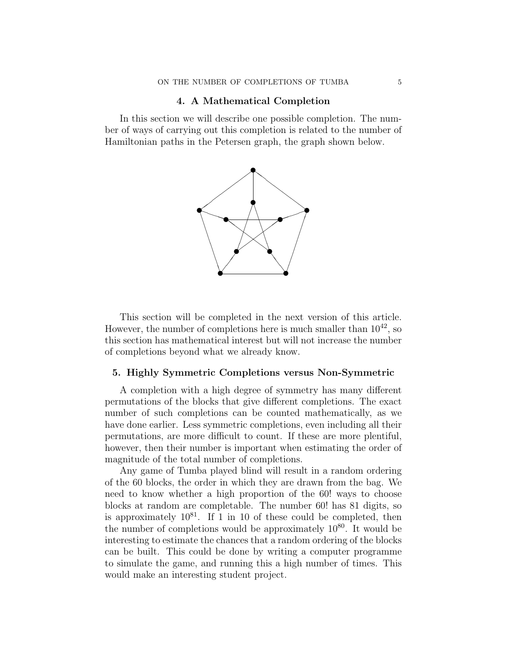### 4. A Mathematical Completion

In this section we will describe one possible completion. The number of ways of carrying out this completion is related to the number of Hamiltonian paths in the Petersen graph, the graph shown below.



This section will be completed in the next version of this article. However, the number of completions here is much smaller than  $10^{42}$ , so this section has mathematical interest but will not increase the number of completions beyond what we already know.

#### 5. Highly Symmetric Completions versus Non-Symmetric

A completion with a high degree of symmetry has many different permutations of the blocks that give different completions. The exact number of such completions can be counted mathematically, as we have done earlier. Less symmetric completions, even including all their permutations, are more difficult to count. If these are more plentiful, however, then their number is important when estimating the order of magnitude of the total number of completions.

Any game of Tumba played blind will result in a random ordering of the 60 blocks, the order in which they are drawn from the bag. We need to know whether a high proportion of the 60! ways to choose blocks at random are completable. The number 60! has 81 digits, so is approximately  $10^{81}$ . If 1 in 10 of these could be completed, then the number of completions would be approximately  $10^{80}$ . It would be interesting to estimate the chances that a random ordering of the blocks can be built. This could be done by writing a computer programme to simulate the game, and running this a high number of times. This would make an interesting student project.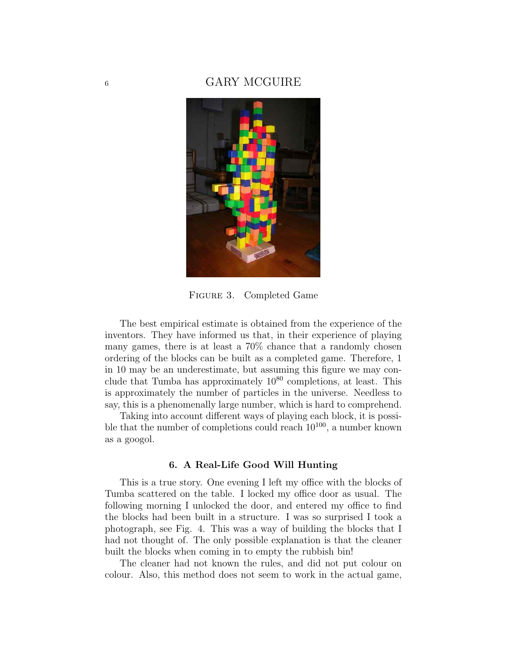## 6 GARY MCGUIRE



Figure 3. Completed Game

The best empirical estimate is obtained from the experience of the inventors. They have informed us that, in their experience of playing many games, there is at least a 70% chance that a randomly chosen ordering of the blocks can be built as a completed game. Therefore, 1 in 10 may be an underestimate, but assuming this figure we may conclude that Tumba has approximately  $10^{80}$  completions, at least. This is approximately the number of particles in the universe. Needless to say, this is a phenomenally large number, which is hard to comprehend.

Taking into account different ways of playing each block, it is possible that the number of completions could reach  $10^{100}$ , a number known as a googol.

#### 6. A Real-Life Good Will Hunting

This is a true story. One evening I left my office with the blocks of Tumba scattered on the table. I locked my office door as usual. The following morning I unlocked the door, and entered my office to find the blocks had been built in a structure. I was so surprised I took a photograph, see Fig. 4. This was a way of building the blocks that I had not thought of. The only possible explanation is that the cleaner built the blocks when coming in to empty the rubbish bin!

The cleaner had not known the rules, and did not put colour on colour. Also, this method does not seem to work in the actual game,